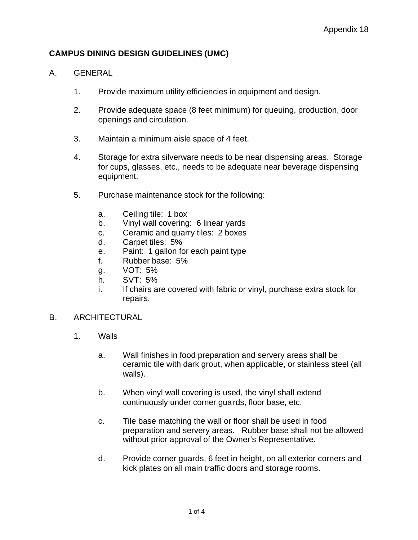# **CAMPUS DINING DESIGN GUIDELINES (UMC)**

### A. GENERAL

- 1. Provide maximum utility efficiencies in equipment and design.
- 2. Provide adequate space (8 feet minimum) for queuing, production, door openings and circulation.
- 3. Maintain a minimum aisle space of 4 feet.
- 4. Storage for extra silverware needs to be near dispensing areas. Storage for cups, glasses, etc., needs to be adequate near beverage dispensing equipment.
- 5. Purchase maintenance stock for the following:
	- a. Ceiling tile: 1 box
	- b. Vinyl wall covering: 6 linear yards
	- c. Ceramic and quarry tiles: 2 boxes
	- d. Carpet tiles: 5%
	- e. Paint: 1 gallon for each paint type
	- f. Rubber base: 5%
	- g. VOT: 5%
	- h. SVT: 5%
	- i. If chairs are covered with fabric or vinyl, purchase extra stock for repairs.

### B. ARCHITECTURAL

- 1. Walls
	- a. Wall finishes in food preparation and servery areas shall be ceramic tile with dark grout, when applicable, or stainless steel (all walls).
	- b. When vinyl wall covering is used, the vinyl shall extend continuously under corner guards, floor base, etc.
	- c. Tile base matching the wall or floor shall be used in food preparation and servery areas. Rubber base shall not be allowed without prior approval of the Owner's Representative.
	- d. Provide corner guards, 6 feet in height, on all exterior corners and kick plates on all main traffic doors and storage rooms.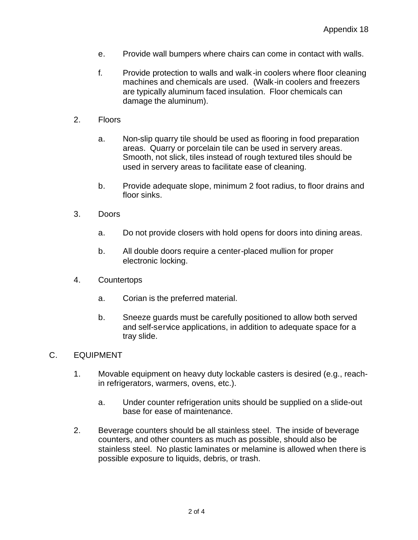- e. Provide wall bumpers where chairs can come in contact with walls.
- f. Provide protection to walls and walk-in coolers where floor cleaning machines and chemicals are used. (Walk-in coolers and freezers are typically aluminum faced insulation. Floor chemicals can damage the aluminum).
- 2. Floors
	- a. Non-slip quarry tile should be used as flooring in food preparation areas. Quarry or porcelain tile can be used in servery areas. Smooth, not slick, tiles instead of rough textured tiles should be used in servery areas to facilitate ease of cleaning.
	- b. Provide adequate slope, minimum 2 foot radius, to floor drains and floor sinks.
- 3. Doors
	- a. Do not provide closers with hold opens for doors into dining areas.
	- b. All double doors require a center-placed mullion for proper electronic locking.
- 4. Countertops
	- a. Corian is the preferred material.
	- b. Sneeze guards must be carefully positioned to allow both served and self-service applications, in addition to adequate space for a tray slide.

#### C. EQUIPMENT

- 1. Movable equipment on heavy duty lockable casters is desired (e.g., reachin refrigerators, warmers, ovens, etc.).
	- a. Under counter refrigeration units should be supplied on a slide-out base for ease of maintenance.
- 2. Beverage counters should be all stainless steel. The inside of beverage counters, and other counters as much as possible, should also be stainless steel. No plastic laminates or melamine is allowed when there is possible exposure to liquids, debris, or trash.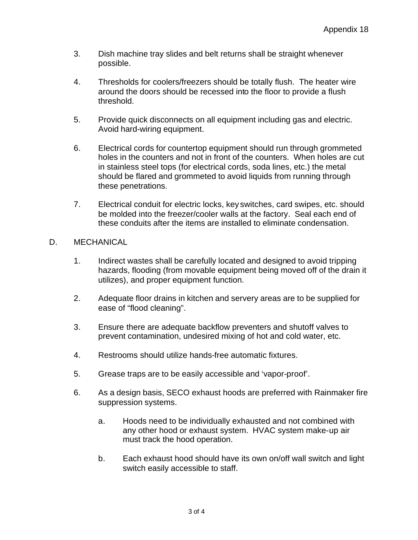- 3. Dish machine tray slides and belt returns shall be straight whenever possible.
- 4. Thresholds for coolers/freezers should be totally flush. The heater wire around the doors should be recessed into the floor to provide a flush threshold.
- 5. Provide quick disconnects on all equipment including gas and electric. Avoid hard-wiring equipment.
- 6. Electrical cords for countertop equipment should run through grommeted holes in the counters and not in front of the counters. When holes are cut in stainless steel tops (for electrical cords, soda lines, etc.) the metal should be flared and grommeted to avoid liquids from running through these penetrations.
- 7. Electrical conduit for electric locks, key switches, card swipes, etc. should be molded into the freezer/cooler walls at the factory. Seal each end of these conduits after the items are installed to eliminate condensation.
- D. MECHANICAL
	- 1. Indirect wastes shall be carefully located and designed to avoid tripping hazards, flooding (from movable equipment being moved off of the drain it utilizes), and proper equipment function.
	- 2. Adequate floor drains in kitchen and servery areas are to be supplied for ease of "flood cleaning".
	- 3. Ensure there are adequate backflow preventers and shutoff valves to prevent contamination, undesired mixing of hot and cold water, etc.
	- 4. Restrooms should utilize hands-free automatic fixtures.
	- 5. Grease traps are to be easily accessible and 'vapor-proof'.
	- 6. As a design basis, SECO exhaust hoods are preferred with Rainmaker fire suppression systems.
		- a. Hoods need to be individually exhausted and not combined with any other hood or exhaust system. HVAC system make-up air must track the hood operation.
		- b. Each exhaust hood should have its own on/off wall switch and light switch easily accessible to staff.